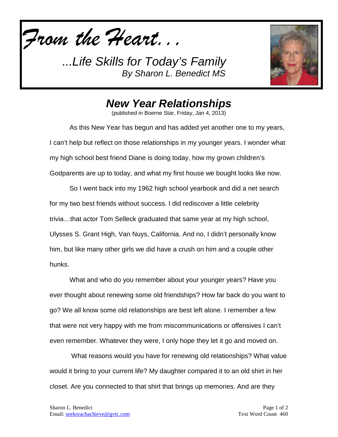*From the Heart...*



## *New Year Relationships*

(published in Boerne Star, Friday, Jan 4, 2013)

As this New Year has begun and has added yet another one to my years, I can't help but reflect on those relationships in my younger years. I wonder what my high school best friend Diane is doing today, how my grown children's Godparents are up to today, and what my first house we bought looks like now.

So I went back into my 1962 high school yearbook and did a net search for my two best friends without success. I did rediscover a little celebrity trivia…that actor Tom Selleck graduated that same year at my high school, Ulysses S. Grant High, Van Nuys, California. And no, I didn't personally know him, but like many other girls we did have a crush on him and a couple other hunks.

What and who do you remember about your younger years? Have you ever thought about renewing some old friendships? How far back do you want to go? We all know some old relationships are best left alone. I remember a few that were not very happy with me from miscommunications or offensives I can't even remember. Whatever they were, I only hope they let it go and moved on.

What reasons would you have for renewing old relationships? What value would it bring to your current life? My daughter compared it to an old shirt in her closet. Are you connected to that shirt that brings up memories. And are they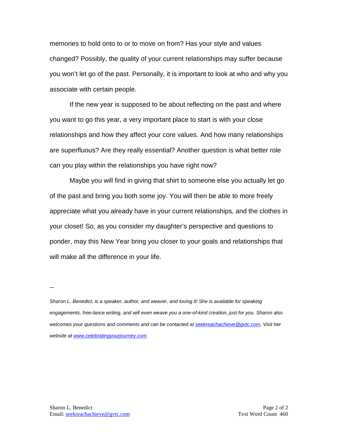memories to hold onto to or to move on from? Has your style and values changed? Possibly, the quality of your current relationships may suffer because you won't let go of the past. Personally, it is important to look at who and why you associate with certain people.

If the new year is supposed to be about reflecting on the past and where you want to go this year, a very important place to start is with your close relationships and how they affect your core values. And how many relationships are superfluous? Are they really essential? Another question is what better role can you play within the relationships you have right now?

Maybe you will find in giving that shirt to someone else you actually let go of the past and bring you both some joy. You will then be able to more freely appreciate what you already have in your current relationships, and the clothes in your closet! So, as you consider my daughter's perspective and questions to ponder, may this New Year bring you closer to your goals and relationships that will make all the difference in your life.

--

*Sharon L. Benedict, is a speaker, author, and weaver, and loving it! She is available for speaking engagements, free-lance writing, and will even weave you a one-of-kind creation, just for you. Sharon also welcomes your questions and comments and can be contacted a[t seekreachachieve@gvtc.com.](mailto:seekreachachieve@gvtc.com) Visit her website at [www.celebratingyourjourney.com.](http://www.celebratingyourjourney.com/)*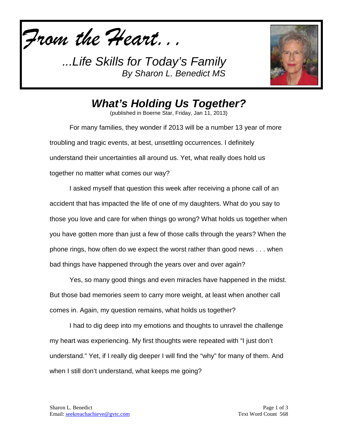*From the Heart...*



*What's Holding Us Together?*

(published in Boerne Star, Friday, Jan 11, 2013)

For many families, they wonder if 2013 will be a number 13 year of more troubling and tragic events, at best, unsettling occurrences. I definitely understand their uncertainties all around us. Yet, what really does hold us together no matter what comes our way?

I asked myself that question this week after receiving a phone call of an accident that has impacted the life of one of my daughters. What do you say to those you love and care for when things go wrong? What holds us together when you have gotten more than just a few of those calls through the years? When the phone rings, how often do we expect the worst rather than good news . . . when bad things have happened through the years over and over again?

Yes, so many good things and even miracles have happened in the midst. But those bad memories seem to carry more weight, at least when another call comes in. Again, my question remains, what holds us together?

I had to dig deep into my emotions and thoughts to unravel the challenge my heart was experiencing. My first thoughts were repeated with "I just don't understand." Yet, if I really dig deeper I will find the "why" for many of them. And when I still don't understand, what keeps me going?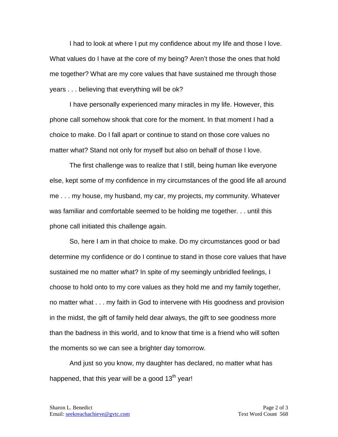I had to look at where I put my confidence about my life and those I love. What values do I have at the core of my being? Aren't those the ones that hold me together? What are my core values that have sustained me through those years . . . believing that everything will be ok?

I have personally experienced many miracles in my life. However, this phone call somehow shook that core for the moment. In that moment I had a choice to make. Do I fall apart or continue to stand on those core values no matter what? Stand not only for myself but also on behalf of those I love.

The first challenge was to realize that I still, being human like everyone else, kept some of my confidence in my circumstances of the good life all around me . . . my house, my husband, my car, my projects, my community. Whatever was familiar and comfortable seemed to be holding me together. . . until this phone call initiated this challenge again.

So, here I am in that choice to make. Do my circumstances good or bad determine my confidence or do I continue to stand in those core values that have sustained me no matter what? In spite of my seemingly unbridled feelings, I choose to hold onto to my core values as they hold me and my family together, no matter what . . . my faith in God to intervene with His goodness and provision in the midst, the gift of family held dear always, the gift to see goodness more than the badness in this world, and to know that time is a friend who will soften the moments so we can see a brighter day tomorrow.

And just so you know, my daughter has declared, no matter what has happened, that this year will be a good  $13<sup>th</sup>$  year!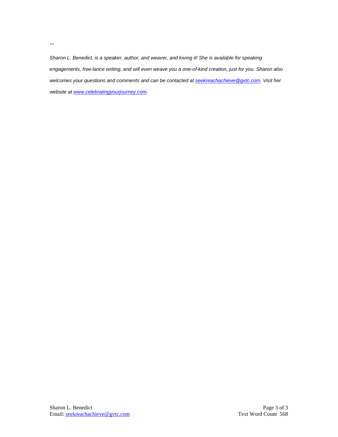*Sharon L. Benedict, is a speaker, author, and weaver, and loving it! She is available for speaking engagements, free-lance writing, and will even weave you a one-of-kind creation, just for you. Sharon also welcomes your questions and comments and can be contacted a[t seekreachachieve@gvtc.com.](mailto:seekreachachieve@gvtc.com) Visit her website at [www.celebratingyourjourney.com.](http://www.celebratingyourjourney.com/)*

--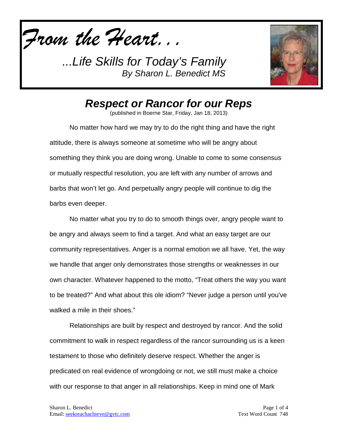*From the Heart...*



*Respect or Rancor for our Reps*

(published in Boerne Star, Friday, Jan 18, 2013)

No matter how hard we may try to do the right thing and have the right attitude, there is always someone at sometime who will be angry about something they think you are doing wrong. Unable to come to some consensus or mutually respectful resolution, you are left with any number of arrows and barbs that won't let go. And perpetually angry people will continue to dig the barbs even deeper.

No matter what you try to do to smooth things over, angry people want to be angry and always seem to find a target. And what an easy target are our community representatives. Anger is a normal emotion we all have. Yet, the way we handle that anger only demonstrates those strengths or weaknesses in our own character. Whatever happened to the motto, "Treat others the way you want to be treated?" And what about this ole idiom? "Never judge a person until you've walked a mile in their shoes."

Relationships are built by respect and destroyed by rancor. And the solid commitment to walk in respect regardless of the rancor surrounding us is a keen testament to those who definitely deserve respect. Whether the anger is predicated on real evidence of wrongdoing or not, we still must make a choice with our response to that anger in all relationships. Keep in mind one of Mark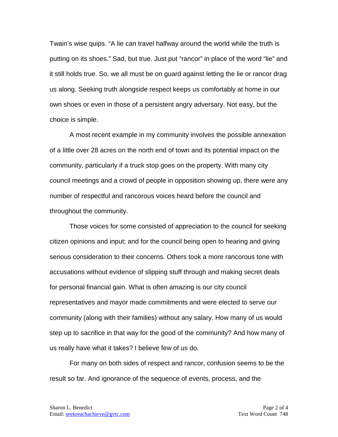Twain's wise quips. "A lie can travel halfway around the world while the truth is putting on its shoes." Sad, but true. Just put "rancor" in place of the word "lie" and it still holds true. So, we all must be on guard against letting the lie or rancor drag us along. Seeking truth alongside respect keeps us comfortably at home in our own shoes or even in those of a persistent angry adversary. Not easy, but the choice is simple.

A most recent example in my community involves the possible annexation of a little over 28 acres on the north end of town and its potential impact on the community, particularly if a truck stop goes on the property. With many city council meetings and a crowd of people in opposition showing up, there were any number of respectful and rancorous voices heard before the council and throughout the community.

Those voices for some consisted of appreciation to the council for seeking citizen opinions and input; and for the council being open to hearing and giving serious consideration to their concerns. Others took a more rancorous tone with accusations without evidence of slipping stuff through and making secret deals for personal financial gain. What is often amazing is our city council representatives and mayor made commitments and were elected to serve our community (along with their families) without any salary. How many of us would step up to sacrifice in that way for the good of the community? And how many of us really have what it takes? I believe few of us do.

For many on both sides of respect and rancor, confusion seems to be the result so far. And ignorance of the sequence of events, process, and the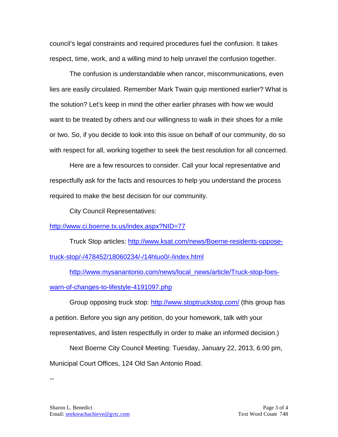council's legal constraints and required procedures fuel the confusion. It takes respect, time, work, and a willing mind to help unravel the confusion together.

The confusion is understandable when rancor, miscommunications, even lies are easily circulated. Remember Mark Twain quip mentioned earlier? What is the solution? Let's keep in mind the other earlier phrases with how we would want to be treated by others and our willingness to walk in their shoes for a mile or two. So, if you decide to look into this issue on behalf of our community, do so with respect for all, working together to seek the best resolution for all concerned.

Here are a few resources to consider. Call your local representative and respectfully ask for the facts and resources to help you understand the process required to make the best decision for our community.

City Council Representatives:

<http://www.ci.boerne.tx.us/index.aspx?NID=77>

Truck Stop articles: [http://www.ksat.com/news/Boerne-residents-oppose](http://www.ksat.com/news/Boerne-residents-oppose-truck-stop/-/478452/18060234/-/14hluo0/-/index.html)[truck-stop/-/478452/18060234/-/14hluo0/-/index.html](http://www.ksat.com/news/Boerne-residents-oppose-truck-stop/-/478452/18060234/-/14hluo0/-/index.html)

[http://www.mysanantonio.com/news/local\\_news/article/Truck-stop-foes](http://www.mysanantonio.com/news/local_news/article/Truck-stop-foes-warn-of-changes-to-lifestyle-4191097.php)[warn-of-changes-to-lifestyle-4191097.php](http://www.mysanantonio.com/news/local_news/article/Truck-stop-foes-warn-of-changes-to-lifestyle-4191097.php)

Group opposing truck stop: <http://www.stoptruckstop.com/> (this group has a petition. Before you sign any petition, do your homework, talk with your representatives, and listen respectfully in order to make an informed decision.)

Next Boerne City Council Meeting: Tuesday, January 22, 2013, 6:00 pm, Municipal Court Offices, 124 Old San Antonio Road.

--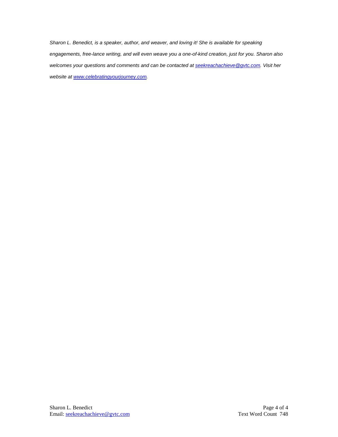*Sharon L. Benedict, is a speaker, author, and weaver, and loving it! She is available for speaking engagements, free-lance writing, and will even weave you a one-of-kind creation, just for you. Sharon also welcomes your questions and comments and can be contacted a[t seekreachachieve@gvtc.com.](mailto:seekreachachieve@gvtc.com) Visit her website at [www.celebratingyourjourney.com.](http://www.celebratingyourjourney.com/)*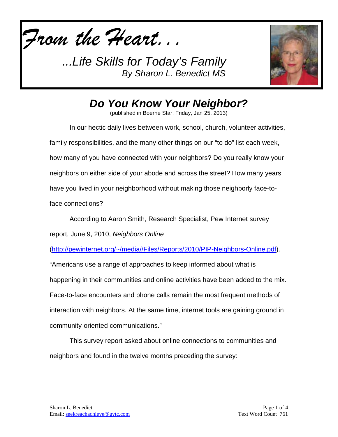*From the Heart...*



## *Do You Know Your Neighbor?*

(published in Boerne Star, Friday, Jan 25, 2013)

In our hectic daily lives between work, school, church, volunteer activities, family responsibilities, and the many other things on our "to do" list each week, how many of you have connected with your neighbors? Do you really know your neighbors on either side of your abode and across the street? How many years have you lived in your neighborhood without making those neighborly face-toface connections?

According to Aaron Smith, Research Specialist, Pew Internet survey

report, June 9, 2010, *Neighbors Online*

[\(http://pewinternet.org/~/media//Files/Reports/2010/PIP-Neighbors-Online.pdf\)](http://pewinternet.org/~/media/Files/Reports/2010/PIP-Neighbors-Online.pdf)*,* 

"Americans use a range of approaches to keep informed about what is happening in their communities and online activities have been added to the mix. Face-to-face encounters and phone calls remain the most frequent methods of interaction with neighbors. At the same time, internet tools are gaining ground in community-oriented communications."

This survey report asked about online connections to communities and neighbors and found in the twelve months preceding the survey: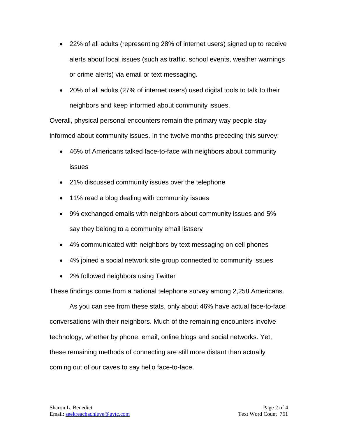- 22% of all adults (representing 28% of internet users) signed up to receive alerts about local issues (such as traffic, school events, weather warnings or crime alerts) via email or text messaging.
- 20% of all adults (27% of internet users) used digital tools to talk to their neighbors and keep informed about community issues.

Overall, physical personal encounters remain the primary way people stay informed about community issues. In the twelve months preceding this survey:

- 46% of Americans talked face-to-face with neighbors about community issues
- 21% discussed community issues over the telephone
- 11% read a blog dealing with community issues
- 9% exchanged emails with neighbors about community issues and 5% say they belong to a community email listserv
- 4% communicated with neighbors by text messaging on cell phones
- 4% joined a social network site group connected to community issues
- 2% followed neighbors using Twitter

These findings come from a national telephone survey among 2,258 Americans.

As you can see from these stats, only about 46% have actual face-to-face conversations with their neighbors. Much of the remaining encounters involve technology, whether by phone, email, online blogs and social networks. Yet, these remaining methods of connecting are still more distant than actually coming out of our caves to say hello face-to-face.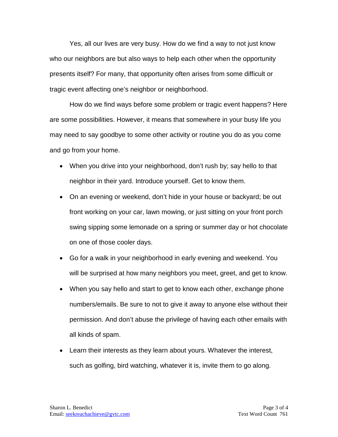Yes, all our lives are very busy. How do we find a way to not just know who our neighbors are but also ways to help each other when the opportunity presents itself? For many, that opportunity often arises from some difficult or tragic event affecting one's neighbor or neighborhood.

How do we find ways before some problem or tragic event happens? Here are some possibilities. However, it means that somewhere in your busy life you may need to say goodbye to some other activity or routine you do as you come and go from your home.

- When you drive into your neighborhood, don't rush by; say hello to that neighbor in their yard. Introduce yourself. Get to know them.
- On an evening or weekend, don't hide in your house or backyard; be out front working on your car, lawn mowing, or just sitting on your front porch swing sipping some lemonade on a spring or summer day or hot chocolate on one of those cooler days.
- Go for a walk in your neighborhood in early evening and weekend. You will be surprised at how many neighbors you meet, greet, and get to know.
- When you say hello and start to get to know each other, exchange phone numbers/emails. Be sure to not to give it away to anyone else without their permission. And don't abuse the privilege of having each other emails with all kinds of spam.
- Learn their interests as they learn about yours. Whatever the interest, such as golfing, bird watching, whatever it is, invite them to go along.